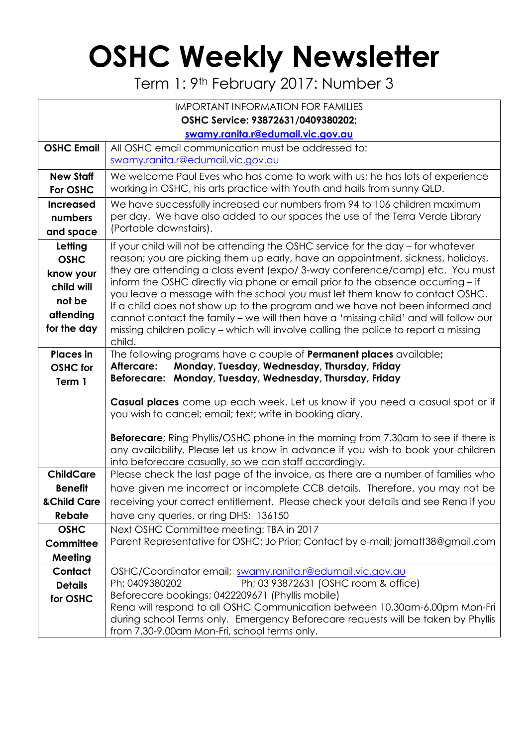## **OSHC Weekly Newsletter**

Term 1: 9<sup>th</sup> February 2017: Number 3

| <b>IMPORTANT INFORMATION FOR FAMILIES</b>                                               |                                                                                                                                                                                                                                                                                                                                                                                                                                                                                                                                                                                                                                                                                             |  |  |  |  |  |
|-----------------------------------------------------------------------------------------|---------------------------------------------------------------------------------------------------------------------------------------------------------------------------------------------------------------------------------------------------------------------------------------------------------------------------------------------------------------------------------------------------------------------------------------------------------------------------------------------------------------------------------------------------------------------------------------------------------------------------------------------------------------------------------------------|--|--|--|--|--|
| OSHC Service: 93872631/0409380202;                                                      |                                                                                                                                                                                                                                                                                                                                                                                                                                                                                                                                                                                                                                                                                             |  |  |  |  |  |
| swamy.ranita.r@edumail.vic.gov.au                                                       |                                                                                                                                                                                                                                                                                                                                                                                                                                                                                                                                                                                                                                                                                             |  |  |  |  |  |
| <b>OSHC Email</b>                                                                       | All OSHC email communication must be addressed to:<br>swamy.ranita.r@edumail.vic.gov.au                                                                                                                                                                                                                                                                                                                                                                                                                                                                                                                                                                                                     |  |  |  |  |  |
|                                                                                         |                                                                                                                                                                                                                                                                                                                                                                                                                                                                                                                                                                                                                                                                                             |  |  |  |  |  |
| <b>New Staff</b><br>For OSHC                                                            | We welcome Paul Eves who has come to work with us; he has lots of experience<br>working in OSHC, his arts practice with Youth and hails from sunny QLD.                                                                                                                                                                                                                                                                                                                                                                                                                                                                                                                                     |  |  |  |  |  |
| <b>Increased</b><br>numbers<br>and space                                                | We have successfully increased our numbers from 94 to 106 children maximum<br>per day. We have also added to our spaces the use of the Terra Verde Library<br>(Portable downstairs).                                                                                                                                                                                                                                                                                                                                                                                                                                                                                                        |  |  |  |  |  |
| Letting<br><b>OSHC</b><br>know your<br>child will<br>not be<br>attending<br>for the day | If your child will not be attending the OSHC service for the day – for whatever<br>reason; you are picking them up early, have an appointment, sickness, holidays,<br>they are attending a class event (expo/3-way conference/camp) etc. You must<br>inform the OSHC directly via phone or email prior to the absence occurring - if<br>you leave a message with the school you must let them know to contact OSHC.<br>If a child does not show up to the program and we have not been informed and<br>cannot contact the family - we will then have a 'missing child' and will follow our<br>missing children policy - which will involve calling the police to report a missing<br>child. |  |  |  |  |  |
| <b>Places</b> in<br><b>OSHC</b> for<br>Term 1                                           | The following programs have a couple of <b>Permanent places</b> available;<br>Aftercare:<br>Monday, Tuesday, Wednesday, Thursday, Friday<br>Beforecare: Monday, Tuesday, Wednesday, Thursday, Friday                                                                                                                                                                                                                                                                                                                                                                                                                                                                                        |  |  |  |  |  |
|                                                                                         | Casual places come up each week. Let us know if you need a casual spot or if<br>you wish to cancel; email; text; write in booking diary.<br><b>Beforecare</b> ; Ring Phyllis/OSHC phone in the morning from 7.30am to see if there is<br>any availability. Please let us know in advance if you wish to book your children<br>into beforecare casually, so we can staff accordingly.                                                                                                                                                                                                                                                                                                        |  |  |  |  |  |
| <b>ChildCare</b>                                                                        | Please check the last page of the invoice, as there are a number of families who                                                                                                                                                                                                                                                                                                                                                                                                                                                                                                                                                                                                            |  |  |  |  |  |
| <b>Benefit</b>                                                                          | have given me incorrect or incomplete CCB details. Therefore, you may not be                                                                                                                                                                                                                                                                                                                                                                                                                                                                                                                                                                                                                |  |  |  |  |  |
| & Child Care                                                                            | receiving your correct entitlement. Please check your details and see Rena if you                                                                                                                                                                                                                                                                                                                                                                                                                                                                                                                                                                                                           |  |  |  |  |  |
| Rebate                                                                                  | have any queries, or ring DHS: 136150                                                                                                                                                                                                                                                                                                                                                                                                                                                                                                                                                                                                                                                       |  |  |  |  |  |
| <b>OSHC</b>                                                                             | Next OSHC Committee meeting: TBA in 2017                                                                                                                                                                                                                                                                                                                                                                                                                                                                                                                                                                                                                                                    |  |  |  |  |  |
| Committee                                                                               | Parent Representative for OSHC; Jo Prior; Contact by e-mail; jomatt38@gmail.com                                                                                                                                                                                                                                                                                                                                                                                                                                                                                                                                                                                                             |  |  |  |  |  |
| Meeting                                                                                 |                                                                                                                                                                                                                                                                                                                                                                                                                                                                                                                                                                                                                                                                                             |  |  |  |  |  |
| Contact<br><b>Details</b><br>for OSHC                                                   | OSHC/Coordinator email; swamy.ranita.r@edumail.vic.gov.au<br>Ph; 03 93872631 (OSHC room & office)<br>Ph; 0409380202<br>Beforecare bookings; 0422209671 (Phyllis mobile)<br>Rena will respond to all OSHC Communication between 10.30am-6.00pm Mon-Fri<br>during school Terms only. Emergency Beforecare requests will be taken by Phyllis                                                                                                                                                                                                                                                                                                                                                   |  |  |  |  |  |
|                                                                                         | from 7.30-9.00am Mon-Fri, school terms only.                                                                                                                                                                                                                                                                                                                                                                                                                                                                                                                                                                                                                                                |  |  |  |  |  |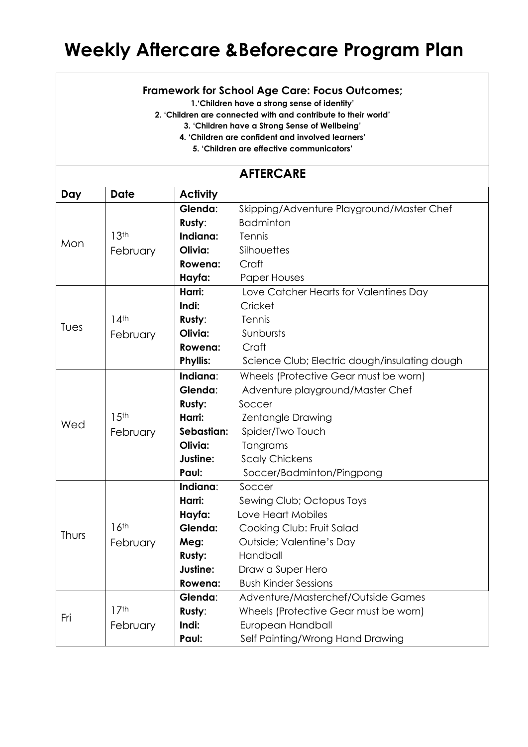## **Weekly Aftercare &Beforecare Program Plan**

## **Framework for School Age Care: Focus Outcomes;**

**1.'Children have a strong sense of identity'**

**2. 'Children are connected with and contribute to their world'**

**3. 'Children have a Strong Sense of Wellbeing'**

**4. 'Children are confident and involved learners'**

**5. 'Children are effective communicators'**

## **AFTERCARE**

| Day   | <b>Date</b>      | <b>Activity</b> |                                               |  |  |  |
|-------|------------------|-----------------|-----------------------------------------------|--|--|--|
| Mon   |                  | Glenda:         | Skipping/Adventure Playground/Master Chef     |  |  |  |
|       |                  | Rusty:          | <b>Badminton</b>                              |  |  |  |
|       | 13 <sup>th</sup> | Indiana:        | Tennis                                        |  |  |  |
|       | February         | Olivia:         | Silhouettes                                   |  |  |  |
|       |                  | Rowena:         | Craft                                         |  |  |  |
|       |                  | Hayfa:          | <b>Paper Houses</b>                           |  |  |  |
|       |                  | Harri:          | Love Catcher Hearts for Valentines Day        |  |  |  |
| Tues  |                  | Indi:           | Cricket                                       |  |  |  |
|       | 14 <sup>th</sup> | Rusty:          | Tennis                                        |  |  |  |
|       | February         | Olivia:         | Sunbursts                                     |  |  |  |
|       |                  | Rowena:         | Craft                                         |  |  |  |
|       |                  | <b>Phyllis:</b> | Science Club; Electric dough/insulating dough |  |  |  |
|       |                  | Indiana:        | Wheels (Protective Gear must be worn)         |  |  |  |
|       |                  | Glenda:         | Adventure playground/Master Chef              |  |  |  |
|       |                  | Rusty:          | Soccer                                        |  |  |  |
|       | 15 <sup>th</sup> | Harri:          | <b>Zentangle Drawing</b>                      |  |  |  |
| Wed   | February         | Sebastian:      | Spider/Two Touch                              |  |  |  |
|       |                  | Olivia:         | Tangrams                                      |  |  |  |
|       |                  | Justine:        | <b>Scaly Chickens</b>                         |  |  |  |
|       |                  | Paul:           | Soccer/Badminton/Pingpong                     |  |  |  |
|       |                  | Indiana:        | Soccer                                        |  |  |  |
| Thurs |                  | Harri:          | Sewing Club; Octopus Toys                     |  |  |  |
|       |                  | Hayfa:          | Love Heart Mobiles                            |  |  |  |
|       | 16 <sup>th</sup> | Glenda:         | Cooking Club: Fruit Salad                     |  |  |  |
|       | February         | Meg:            | Outside; Valentine's Day                      |  |  |  |
|       |                  | Rusty:          | Handball                                      |  |  |  |
|       |                  | Justine:        | Draw a Super Hero                             |  |  |  |
|       |                  | Rowena:         | <b>Bush Kinder Sessions</b>                   |  |  |  |
| Fri   |                  | Glenda:         | Adventure/Masterchef/Outside Games            |  |  |  |
|       | 17 <sup>th</sup> | Rusty:          | Wheels (Protective Gear must be worn)         |  |  |  |
|       | February         | Indi:           | European Handball                             |  |  |  |
|       |                  | Paul:           | Self Painting/Wrong Hand Drawing              |  |  |  |